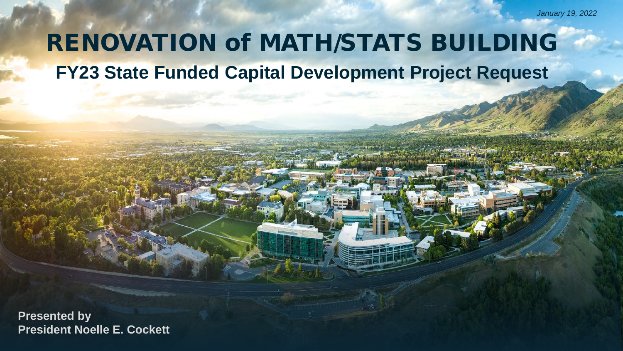# **FY23 State Funded Capital Development Project Request** RENOVATION of MATH/STATS BUILDING

**Presented by President Noelle E. Cockett**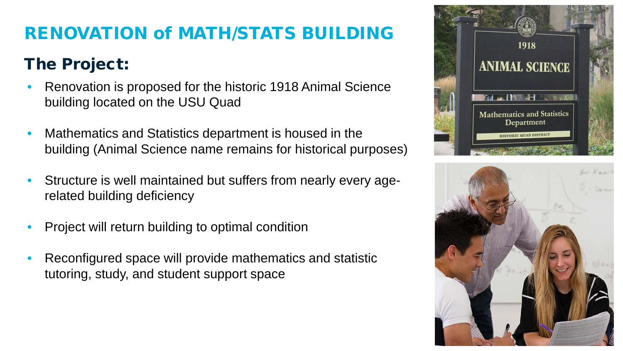### The Project:

- Renovation is proposed for the historic 1918 Animal Science building located on the USU Quad
- Mathematics and Statistics department is housed in the building (Animal Science name remains for historical purposes)
- Structure is well maintained but suffers from nearly every agerelated building deficiency
- Project will return building to optimal condition
- Reconfigured space will provide mathematics and statistic tutoring, study, and student support space



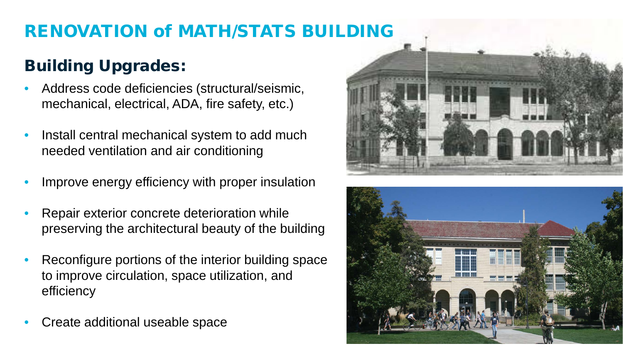### Building Upgrades:

- Address code deficiencies (structural/seismic, mechanical, electrical, ADA, fire safety, etc.)
- Install central mechanical system to add much needed ventilation and air conditioning
- Improve energy efficiency with proper insulation
- Repair exterior concrete deterioration while preserving the architectural beauty of the building
- Reconfigure portions of the interior building space to improve circulation, space utilization, and efficiency
- Create additional useable space



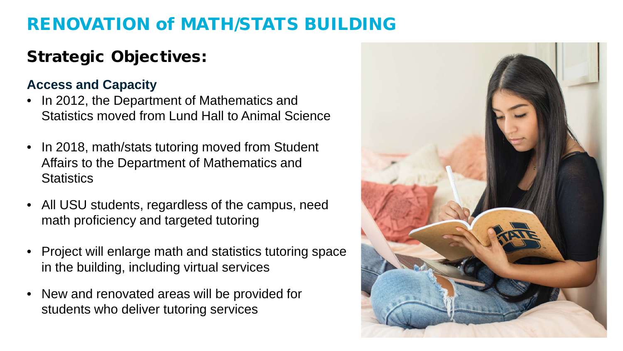# Strategic Objectives:

#### **Access and Capacity**

- In 2012, the Department of Mathematics and Statistics moved from Lund Hall to Animal Science
- In 2018, math/stats tutoring moved from Student Affairs to the Department of Mathematics and **Statistics**
- All USU students, regardless of the campus, need math proficiency and targeted tutoring
- Project will enlarge math and statistics tutoring space in the building, including virtual services
- New and renovated areas will be provided for students who deliver tutoring services

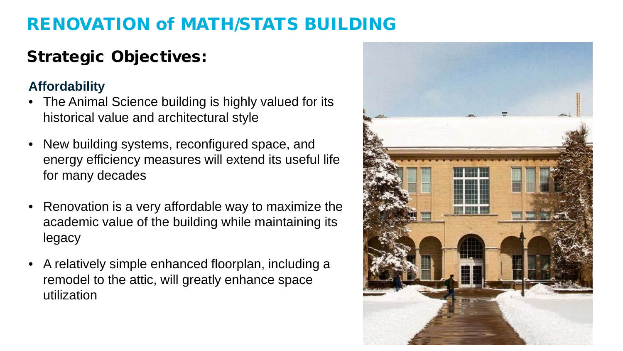### Strategic Objectives:

#### **Affordability**

- The Animal Science building is highly valued for its historical value and architectural style
- New building systems, reconfigured space, and energy efficiency measures will extend its useful life for many decades
- Renovation is a very affordable way to maximize the academic value of the building while maintaining its legacy
- A relatively simple enhanced floorplan, including a remodel to the attic, will greatly enhance space utilization

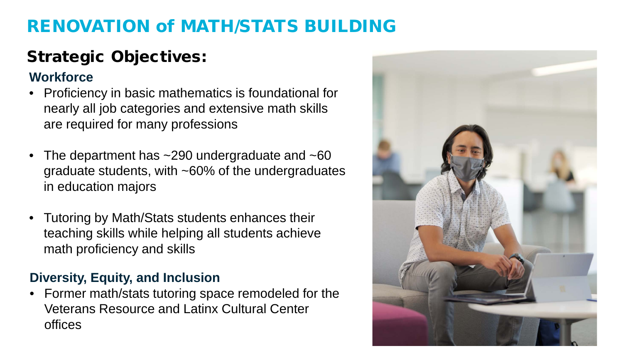# Strategic Objectives:

#### **Workforce**

- Proficiency in basic mathematics is foundational for nearly all job categories and extensive math skills are required for many professions
- The department has ~290 undergraduate and ~60 graduate students, with ~60% of the undergraduates in education majors
- Tutoring by Math/Stats students enhances their teaching skills while helping all students achieve math proficiency and skills

#### **Diversity, Equity, and Inclusion**

• Former math/stats tutoring space remodeled for the Veterans Resource and Latinx Cultural Center offices

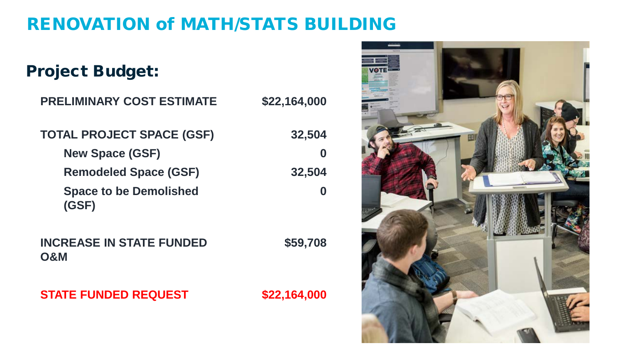| <b>Project Budget:</b>                            |              |
|---------------------------------------------------|--------------|
| <b>PRELIMINARY COST ESTIMATE</b>                  | \$22,164,000 |
| <b>TOTAL PROJECT SPACE (GSF)</b>                  | 32,504       |
| <b>New Space (GSF)</b>                            | O            |
| <b>Remodeled Space (GSF)</b>                      | 32,504       |
| <b>Space to be Demolished</b><br>(GSF)            |              |
| <b>INCREASE IN STATE FUNDED</b><br><b>O&amp;M</b> | \$59,708     |
| <b>STATE FUNDED REQUEST</b>                       | \$22,164,000 |